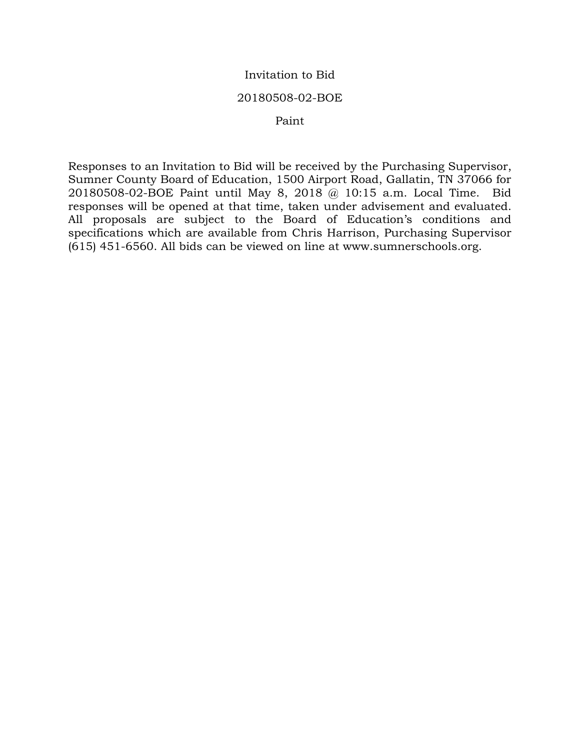## Invitation to Bid

## 20180508-02-BOE

## Paint

Responses to an Invitation to Bid will be received by the Purchasing Supervisor, Sumner County Board of Education, 1500 Airport Road, Gallatin, TN 37066 for 20180508-02-BOE Paint until May 8, 2018 @ 10:15 a.m. Local Time. Bid responses will be opened at that time, taken under advisement and evaluated. All proposals are subject to the Board of Education's conditions and specifications which are available from Chris Harrison, Purchasing Supervisor (615) 451-6560. All bids can be viewed on line at www.sumnerschools.org.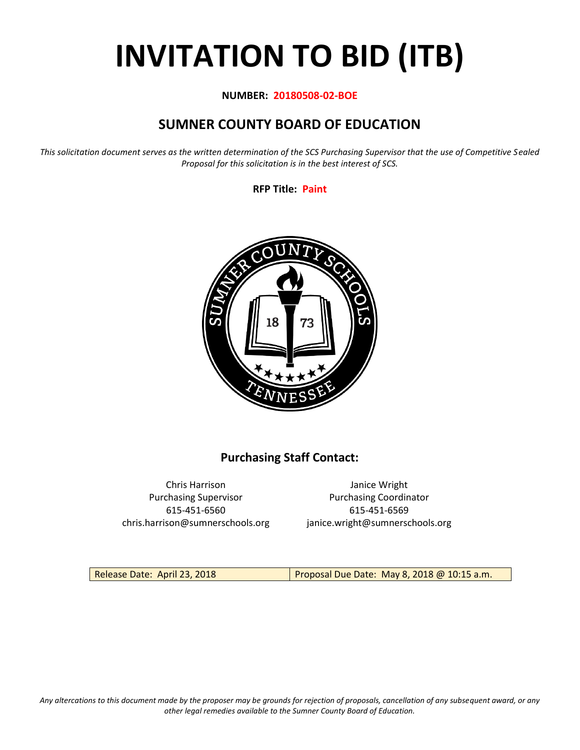# **INVITATION TO BID (ITB)**

## **NUMBER: 20180508-02-BOE**

# **SUMNER COUNTY BOARD OF EDUCATION**

*This solicitation document serves as the written determination of the SCS Purchasing Supervisor that the use of Competitive Sealed Proposal for this solicitation is in the best interest of SCS.*

**RFP Title: Paint**



# **Purchasing Staff Contact:**

Chris Harrison Janice Wright 615-451-6560 615-451-6569 chris.harrison@sumnerschools.org janice.wright@sumnerschools.org

Purchasing Supervisor **Purchasing Coordinator** 

Release Date: April 23, 2018 Proposal Due Date: May 8, 2018 @ 10:15 a.m.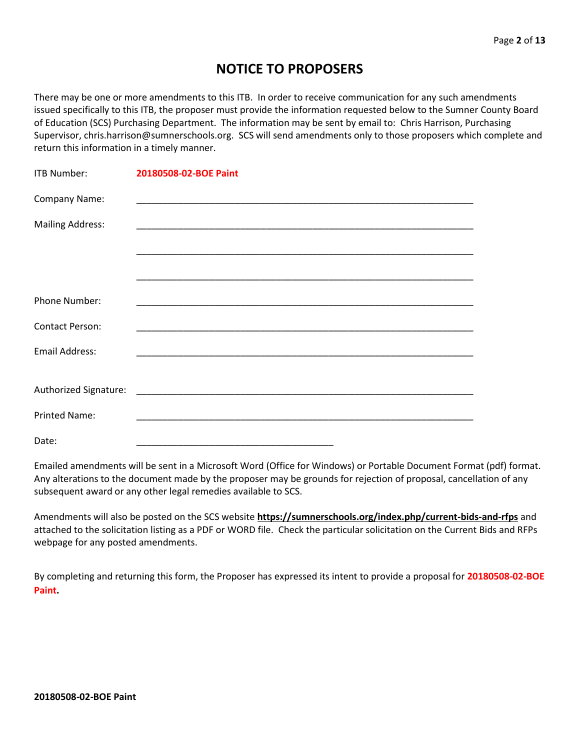# **NOTICE TO PROPOSERS**

There may be one or more amendments to this ITB. In order to receive communication for any such amendments issued specifically to this ITB, the proposer must provide the information requested below to the Sumner County Board of Education (SCS) Purchasing Department. The information may be sent by email to: Chris Harrison, Purchasing Supervisor, chris.harrison@sumnerschools.org. SCS will send amendments only to those proposers which complete and return this information in a timely manner.

| <b>ITB Number:</b>      | 20180508-02-BOE Paint |
|-------------------------|-----------------------|
| Company Name:           |                       |
| <b>Mailing Address:</b> |                       |
|                         |                       |
|                         |                       |
| <b>Phone Number:</b>    |                       |
| <b>Contact Person:</b>  |                       |
| <b>Email Address:</b>   |                       |
|                         |                       |
|                         |                       |
| <b>Printed Name:</b>    |                       |
| Date:                   |                       |

Emailed amendments will be sent in a Microsoft Word (Office for Windows) or Portable Document Format (pdf) format. Any alterations to the document made by the proposer may be grounds for rejection of proposal, cancellation of any subsequent award or any other legal remedies available to SCS.

Amendments will also be posted on the SCS website **https://sumnerschools.org/index.php/current-bids-and-rfps** and attached to the solicitation listing as a PDF or WORD file. Check the particular solicitation on the Current Bids and RFPs webpage for any posted amendments.

By completing and returning this form, the Proposer has expressed its intent to provide a proposal for **20180508-02-BOE Paint.**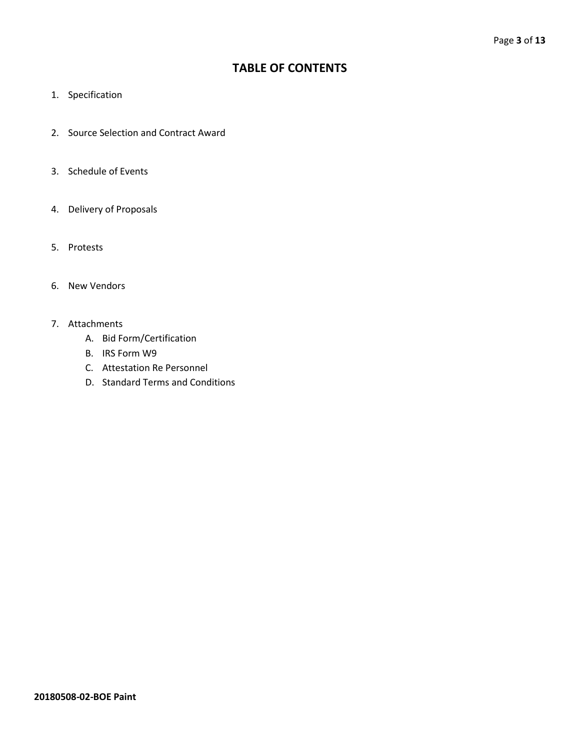# **TABLE OF CONTENTS**

- 1. Specification
- 2. Source Selection and Contract Award
- 3. Schedule of Events
- 4. Delivery of Proposals
- 5. Protests
- 6. New Vendors
- 7. Attachments
	- A. Bid Form/Certification
	- B. IRS Form W9
	- C. Attestation Re Personnel
	- D. Standard Terms and Conditions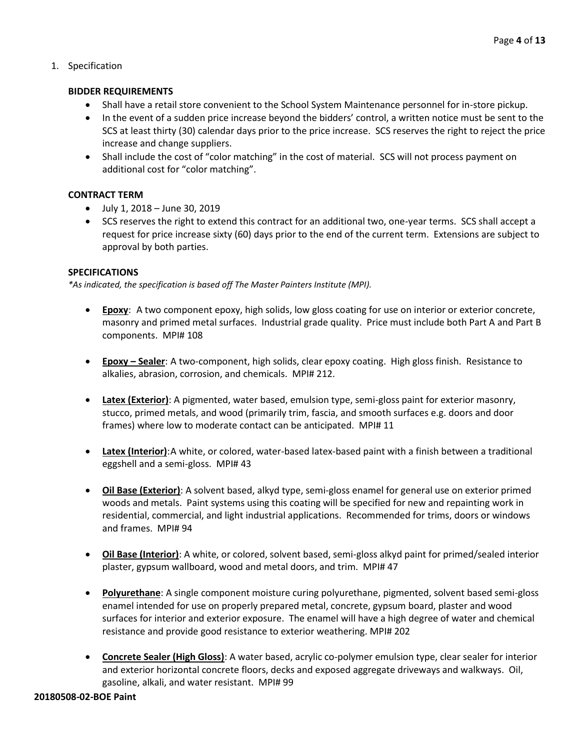## 1. Specification

#### **BIDDER REQUIREMENTS**

- Shall have a retail store convenient to the School System Maintenance personnel for in-store pickup.
- In the event of a sudden price increase beyond the bidders' control, a written notice must be sent to the SCS at least thirty (30) calendar days prior to the price increase. SCS reserves the right to reject the price increase and change suppliers.
- Shall include the cost of "color matching" in the cost of material. SCS will not process payment on additional cost for "color matching".

## **CONTRACT TERM**

- July 1, 2018 June 30, 2019
- SCS reserves the right to extend this contract for an additional two, one-year terms. SCS shall accept a request for price increase sixty (60) days prior to the end of the current term. Extensions are subject to approval by both parties.

#### **SPECIFICATIONS**

*\*As indicated, the specification is based off The Master Painters Institute (MPI).*

- **Epoxy**: A two component epoxy, high solids, low gloss coating for use on interior or exterior concrete, masonry and primed metal surfaces. Industrial grade quality. Price must include both Part A and Part B components. MPI# 108
- **Epoxy – Sealer**: A two-component, high solids, clear epoxy coating. High gloss finish. Resistance to alkalies, abrasion, corrosion, and chemicals. MPI# 212.
- **Latex (Exterior)**: A pigmented, water based, emulsion type, semi-gloss paint for exterior masonry, stucco, primed metals, and wood (primarily trim, fascia, and smooth surfaces e.g. doors and door frames) where low to moderate contact can be anticipated. MPI# 11
- **Latex (Interior)**:A white, or colored, water-based latex-based paint with a finish between a traditional eggshell and a semi-gloss. MPI# 43
- **Oil Base (Exterior)**: A solvent based, alkyd type, semi-gloss enamel for general use on exterior primed woods and metals. Paint systems using this coating will be specified for new and repainting work in residential, commercial, and light industrial applications. Recommended for trims, doors or windows and frames. MPI# 94
- **Oil Base (Interior)**: A white, or colored, solvent based, semi-gloss alkyd paint for primed/sealed interior plaster, gypsum wallboard, wood and metal doors, and trim. MPI# 47
- **Polyurethane**: A single component moisture curing polyurethane, pigmented, solvent based semi-gloss enamel intended for use on properly prepared metal, concrete, gypsum board, plaster and wood surfaces for interior and exterior exposure. The enamel will have a high degree of water and chemical resistance and provide good resistance to exterior weathering. MPI# 202
- **Concrete Sealer (High Gloss)**: A water based, acrylic co-polymer emulsion type, clear sealer for interior and exterior horizontal concrete floors, decks and exposed aggregate driveways and walkways. Oil, gasoline, alkali, and water resistant. MPI# 99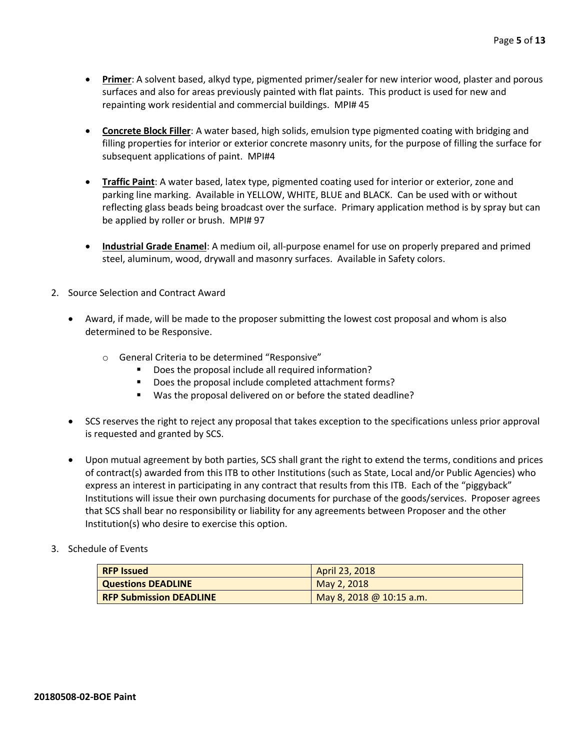- **Primer**: A solvent based, alkyd type, pigmented primer/sealer for new interior wood, plaster and porous surfaces and also for areas previously painted with flat paints. This product is used for new and repainting work residential and commercial buildings. MPI# 45
- **Concrete Block Filler**: A water based, high solids, emulsion type pigmented coating with bridging and filling properties for interior or exterior concrete masonry units, for the purpose of filling the surface for subsequent applications of paint. MPI#4
- **Traffic Paint**: A water based, latex type, pigmented coating used for interior or exterior, zone and parking line marking. Available in YELLOW, WHITE, BLUE and BLACK. Can be used with or without reflecting glass beads being broadcast over the surface. Primary application method is by spray but can be applied by roller or brush. MPI# 97
- **Industrial Grade Enamel**: A medium oil, all-purpose enamel for use on properly prepared and primed steel, aluminum, wood, drywall and masonry surfaces. Available in Safety colors.
- 2. Source Selection and Contract Award
	- Award, if made, will be made to the proposer submitting the lowest cost proposal and whom is also determined to be Responsive.
		- o General Criteria to be determined "Responsive"
			- Does the proposal include all required information?
			- Does the proposal include completed attachment forms?
			- Was the proposal delivered on or before the stated deadline?
	- SCS reserves the right to reject any proposal that takes exception to the specifications unless prior approval is requested and granted by SCS.
	- Upon mutual agreement by both parties, SCS shall grant the right to extend the terms, conditions and prices of contract(s) awarded from this ITB to other Institutions (such as State, Local and/or Public Agencies) who express an interest in participating in any contract that results from this ITB. Each of the "piggyback" Institutions will issue their own purchasing documents for purchase of the goods/services. Proposer agrees that SCS shall bear no responsibility or liability for any agreements between Proposer and the other Institution(s) who desire to exercise this option.

#### 3. Schedule of Events

| <b>RFP Issued</b>              | April 23, 2018           |
|--------------------------------|--------------------------|
| <b>Questions DEADLINE</b>      | May 2, 2018              |
| <b>RFP Submission DEADLINE</b> | May 8, 2018 @ 10:15 a.m. |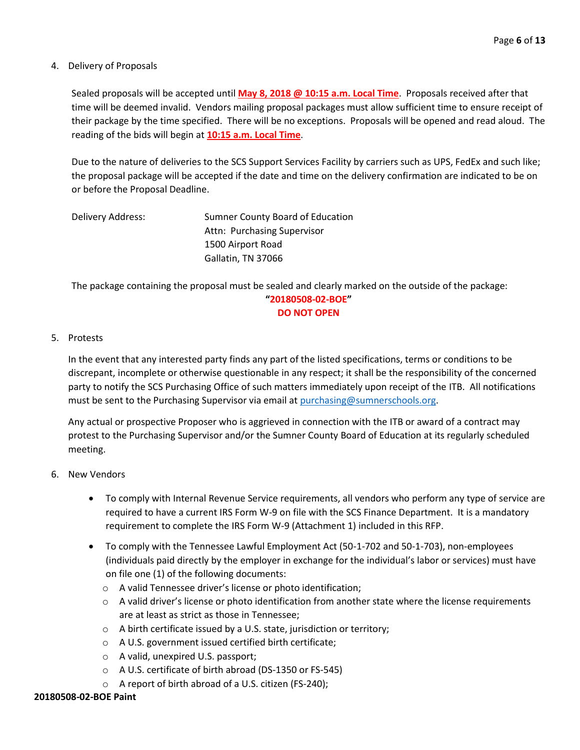#### 4. Delivery of Proposals

Sealed proposals will be accepted until **May 8, 2018 @ 10:15 a.m. Local Time**. Proposals received after that time will be deemed invalid. Vendors mailing proposal packages must allow sufficient time to ensure receipt of their package by the time specified. There will be no exceptions. Proposals will be opened and read aloud. The reading of the bids will begin at **10:15 a.m. Local Time**.

Due to the nature of deliveries to the SCS Support Services Facility by carriers such as UPS, FedEx and such like; the proposal package will be accepted if the date and time on the delivery confirmation are indicated to be on or before the Proposal Deadline.

| Delivery Address: | Sumner County Board of Education |
|-------------------|----------------------------------|
|                   | Attn: Purchasing Supervisor      |
|                   | 1500 Airport Road                |
|                   | Gallatin, TN 37066               |

The package containing the proposal must be sealed and clearly marked on the outside of the package: **"20180508-02-BOE" DO NOT OPEN**

#### 5. Protests

In the event that any interested party finds any part of the listed specifications, terms or conditions to be discrepant, incomplete or otherwise questionable in any respect; it shall be the responsibility of the concerned party to notify the SCS Purchasing Office of such matters immediately upon receipt of the ITB. All notifications must be sent to the Purchasing Supervisor via email at [purchasing@sumnerschools.org.](mailto:purchasing@sumnerschools.org)

Any actual or prospective Proposer who is aggrieved in connection with the ITB or award of a contract may protest to the Purchasing Supervisor and/or the Sumner County Board of Education at its regularly scheduled meeting.

#### 6. New Vendors

- To comply with Internal Revenue Service requirements, all vendors who perform any type of service are required to have a current IRS Form W-9 on file with the SCS Finance Department. It is a mandatory requirement to complete the IRS Form W-9 (Attachment 1) included in this RFP.
- To comply with the Tennessee Lawful Employment Act (50-1-702 and 50-1-703), non-employees (individuals paid directly by the employer in exchange for the individual's labor or services) must have on file one (1) of the following documents:
	- o A valid Tennessee driver's license or photo identification;
	- $\circ$  A valid driver's license or photo identification from another state where the license requirements are at least as strict as those in Tennessee;
	- $\circ$  A birth certificate issued by a U.S. state, jurisdiction or territory;
	- o A U.S. government issued certified birth certificate;
	- o A valid, unexpired U.S. passport;
	- o A U.S. certificate of birth abroad (DS-1350 or FS-545)
	- o A report of birth abroad of a U.S. citizen (FS-240);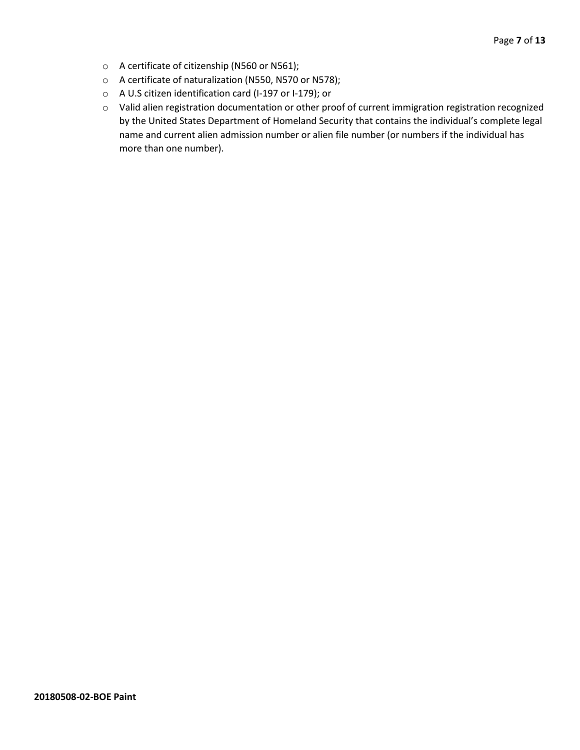- o A certificate of citizenship (N560 or N561);
- o A certificate of naturalization (N550, N570 or N578);
- o A U.S citizen identification card (I-197 or I-179); or
- o Valid alien registration documentation or other proof of current immigration registration recognized by the United States Department of Homeland Security that contains the individual's complete legal name and current alien admission number or alien file number (or numbers if the individual has more than one number).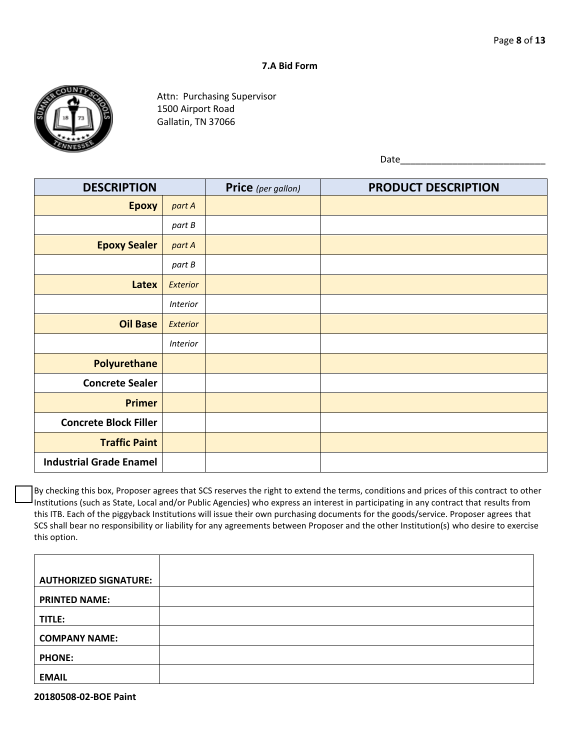#### **7.A Bid Form**



Attn: Purchasing Supervisor 1500 Airport Road Gallatin, TN 37066

Date

| <b>DESCRIPTION</b>             |                 | Price (per gallon) | <b>PRODUCT DESCRIPTION</b> |
|--------------------------------|-----------------|--------------------|----------------------------|
| <b>Epoxy</b>                   | part A          |                    |                            |
|                                | part B          |                    |                            |
| <b>Epoxy Sealer</b>            | part A          |                    |                            |
|                                | part B          |                    |                            |
| Latex                          | Exterior        |                    |                            |
|                                | <b>Interior</b> |                    |                            |
| <b>Oil Base</b>                | Exterior        |                    |                            |
|                                | <b>Interior</b> |                    |                            |
| <b>Polyurethane</b>            |                 |                    |                            |
| <b>Concrete Sealer</b>         |                 |                    |                            |
| <b>Primer</b>                  |                 |                    |                            |
| <b>Concrete Block Filler</b>   |                 |                    |                            |
| <b>Traffic Paint</b>           |                 |                    |                            |
| <b>Industrial Grade Enamel</b> |                 |                    |                            |

By checking this box, Proposer agrees that SCS reserves the right to extend the terms, conditions and prices of this contract to other Institutions (such as State, Local and/or Public Agencies) who express an interest in participating in any contract that results from this ITB. Each of the piggyback Institutions will issue their own purchasing documents for the goods/service. Proposer agrees that SCS shall bear no responsibility or liability for any agreements between Proposer and the other Institution(s) who desire to exercise this option.

| <b>AUTHORIZED SIGNATURE:</b> |  |
|------------------------------|--|
| <b>PRINTED NAME:</b>         |  |
| TITLE:                       |  |
| <b>COMPANY NAME:</b>         |  |
| <b>PHONE:</b>                |  |
| <b>EMAIL</b>                 |  |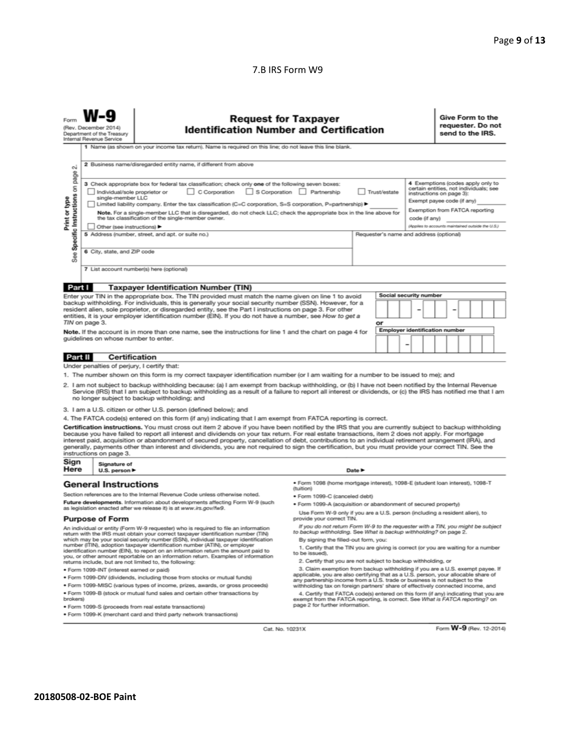#### 7.B IRS Form W9

| N                                                                                                                                                                                                                                                                                                                                                                                                                                                                                                                                                                                                                                                                                                                                                                                                                                                                                                                                                                                                                                           | <b>Request for Taxpayer</b><br>(Rev. December 2014)<br><b>Identification Number and Certification</b><br>Department of the Treasury<br>Internal Revenue Service<br>1 Name (as shown on your income tax return). Name is required on this line; do not leave this line blank.<br>2 Business name/disregarded entity name, if different from above |                                                                                                                                                                                                                                                                                                                                                                       |                                                                                                                                                                                                                                                        |                            |  |  |  | Give Form to the<br>send to the IRS. |  | requester. Do not |  |
|---------------------------------------------------------------------------------------------------------------------------------------------------------------------------------------------------------------------------------------------------------------------------------------------------------------------------------------------------------------------------------------------------------------------------------------------------------------------------------------------------------------------------------------------------------------------------------------------------------------------------------------------------------------------------------------------------------------------------------------------------------------------------------------------------------------------------------------------------------------------------------------------------------------------------------------------------------------------------------------------------------------------------------------------|--------------------------------------------------------------------------------------------------------------------------------------------------------------------------------------------------------------------------------------------------------------------------------------------------------------------------------------------------|-----------------------------------------------------------------------------------------------------------------------------------------------------------------------------------------------------------------------------------------------------------------------------------------------------------------------------------------------------------------------|--------------------------------------------------------------------------------------------------------------------------------------------------------------------------------------------------------------------------------------------------------|----------------------------|--|--|--|--------------------------------------|--|-------------------|--|
| page<br>4 Exemptions (codes apply only to<br>3 Check appropriate box for federal tax classification; check only one of the following seven boxes:<br>Specific Instructions on<br>certain entities, not individuals; see<br>C Corporation<br>S Corporation Partnership<br>Individual/sole proprietor or<br>Trust/estate<br>instructions on page 3):<br>Print or type<br>single-member LLC<br>Exempt payee code (if any)<br>Limited liability company. Enter the tax classification (C=C corporation, S=S corporation, P=partnership) ▶<br>Exemption from FATCA reporting<br>Note. For a single-member LLC that is disregarded, do not check LLC; check the appropriate box in the line above for<br>the tax classification of the single-member owner.<br>code (if any)<br>(Applies to accounts maintained outside the U.S.)<br>Other (see instructions) ▶<br>5 Address (number, street, and apt. or suite no.)<br>Requester's name and address (optional)<br>6 City, state, and ZIP code<br>See<br>7 List account number(s) here (optional) |                                                                                                                                                                                                                                                                                                                                                  |                                                                                                                                                                                                                                                                                                                                                                       |                                                                                                                                                                                                                                                        |                            |  |  |  |                                      |  |                   |  |
| Part I                                                                                                                                                                                                                                                                                                                                                                                                                                                                                                                                                                                                                                                                                                                                                                                                                                                                                                                                                                                                                                      |                                                                                                                                                                                                                                                                                                                                                  | <b>Taxpayer Identification Number (TIN)</b>                                                                                                                                                                                                                                                                                                                           |                                                                                                                                                                                                                                                        |                            |  |  |  |                                      |  |                   |  |
|                                                                                                                                                                                                                                                                                                                                                                                                                                                                                                                                                                                                                                                                                                                                                                                                                                                                                                                                                                                                                                             |                                                                                                                                                                                                                                                                                                                                                  | Enter your TIN in the appropriate box. The TIN provided must match the name given on line 1 to avoid                                                                                                                                                                                                                                                                  |                                                                                                                                                                                                                                                        |                            |  |  |  |                                      |  |                   |  |
| backup withholding. For individuals, this is generally your social security number (SSN). However, for a<br>resident alien, sole proprietor, or disregarded entity, see the Part I instructions on page 3. For other<br>entities, it is your employer identification number (EIN). If you do not have a number, see How to get a<br>TIN on page 3.                                                                                                                                                                                                                                                                                                                                                                                                                                                                                                                                                                                                                                                                                          |                                                                                                                                                                                                                                                                                                                                                  |                                                                                                                                                                                                                                                                                                                                                                       | Social security number<br>or                                                                                                                                                                                                                           |                            |  |  |  |                                      |  |                   |  |
| <b>Employer identification number</b><br>Note. If the account is in more than one name, see the instructions for line 1 and the chart on page 4 for<br>guidelines on whose number to enter.<br>-                                                                                                                                                                                                                                                                                                                                                                                                                                                                                                                                                                                                                                                                                                                                                                                                                                            |                                                                                                                                                                                                                                                                                                                                                  |                                                                                                                                                                                                                                                                                                                                                                       |                                                                                                                                                                                                                                                        |                            |  |  |  |                                      |  |                   |  |
| <b>Part II</b>                                                                                                                                                                                                                                                                                                                                                                                                                                                                                                                                                                                                                                                                                                                                                                                                                                                                                                                                                                                                                              | <b>Certification</b>                                                                                                                                                                                                                                                                                                                             |                                                                                                                                                                                                                                                                                                                                                                       |                                                                                                                                                                                                                                                        |                            |  |  |  |                                      |  |                   |  |
| Under penalties of perjury, I certify that:<br>1. The number shown on this form is my correct taxpayer identification number (or I am waiting for a number to be issued to me); and<br>2. I am not subject to backup withholding because: (a) I am exempt from backup withholding, or (b) I have not been notified by the Internal Revenue<br>Service (IRS) that I am subject to backup withholding as a result of a failure to report all interest or dividends, or (c) the IRS has notified me that I am<br>no longer subject to backup withholding; and<br>3. I am a U.S. citizen or other U.S. person (defined below); and                                                                                                                                                                                                                                                                                                                                                                                                              |                                                                                                                                                                                                                                                                                                                                                  |                                                                                                                                                                                                                                                                                                                                                                       |                                                                                                                                                                                                                                                        |                            |  |  |  |                                      |  |                   |  |
|                                                                                                                                                                                                                                                                                                                                                                                                                                                                                                                                                                                                                                                                                                                                                                                                                                                                                                                                                                                                                                             |                                                                                                                                                                                                                                                                                                                                                  | 4. The FATCA code(s) entered on this form (if any) indicating that I am exempt from FATCA reporting is correct.                                                                                                                                                                                                                                                       |                                                                                                                                                                                                                                                        |                            |  |  |  |                                      |  |                   |  |
| Certification instructions. You must cross out item 2 above if you have been notified by the IRS that you are currently subject to backup withholding<br>because you have failed to report all interest and dividends on your tax return. For real estate transactions, item 2 does not apply. For mortgage<br>interest paid, acquisition or abandonment of secured property, cancellation of debt, contributions to an individual retirement arrangement (IRA), and<br>generally, payments other than interest and dividends, you are not required to sign the certification, but you must provide your correct TIN. See the<br>instructions on page 3.                                                                                                                                                                                                                                                                                                                                                                                    |                                                                                                                                                                                                                                                                                                                                                  |                                                                                                                                                                                                                                                                                                                                                                       |                                                                                                                                                                                                                                                        |                            |  |  |  |                                      |  |                   |  |
| Sign<br>Here                                                                                                                                                                                                                                                                                                                                                                                                                                                                                                                                                                                                                                                                                                                                                                                                                                                                                                                                                                                                                                | Signature of<br>U.S. person $\blacktriangleright$                                                                                                                                                                                                                                                                                                |                                                                                                                                                                                                                                                                                                                                                                       |                                                                                                                                                                                                                                                        | Date $\blacktriangleright$ |  |  |  |                                      |  |                   |  |
|                                                                                                                                                                                                                                                                                                                                                                                                                                                                                                                                                                                                                                                                                                                                                                                                                                                                                                                                                                                                                                             | <b>General Instructions</b>                                                                                                                                                                                                                                                                                                                      |                                                                                                                                                                                                                                                                                                                                                                       | · Form 1098 (home mortgage interest), 1098-E (student loan interest), 1098-T<br>(tuition)                                                                                                                                                              |                            |  |  |  |                                      |  |                   |  |
|                                                                                                                                                                                                                                                                                                                                                                                                                                                                                                                                                                                                                                                                                                                                                                                                                                                                                                                                                                                                                                             |                                                                                                                                                                                                                                                                                                                                                  | Section references are to the Internal Revenue Code unless otherwise noted.                                                                                                                                                                                                                                                                                           | · Form 1099-C (canceled debt)                                                                                                                                                                                                                          |                            |  |  |  |                                      |  |                   |  |
| Future developments. Information about developments affecting Form W-9 (such<br>as legislation enacted after we release it) is at www.irs.gov/fw9.                                                                                                                                                                                                                                                                                                                                                                                                                                                                                                                                                                                                                                                                                                                                                                                                                                                                                          |                                                                                                                                                                                                                                                                                                                                                  | . Form 1099-A (acquisition or abandonment of secured property)                                                                                                                                                                                                                                                                                                        |                                                                                                                                                                                                                                                        |                            |  |  |  |                                      |  |                   |  |
| <b>Purpose of Form</b>                                                                                                                                                                                                                                                                                                                                                                                                                                                                                                                                                                                                                                                                                                                                                                                                                                                                                                                                                                                                                      |                                                                                                                                                                                                                                                                                                                                                  | Use Form W-9 only if you are a U.S. person (including a resident alien), to<br>provide your correct TIN.                                                                                                                                                                                                                                                              |                                                                                                                                                                                                                                                        |                            |  |  |  |                                      |  |                   |  |
| An individual or entity (Form W-9 requester) who is required to file an information<br>return with the IRS must obtain your correct taxpayer identification number (TIN)<br>which may be your social security number (SSN), individual taxpayer identification<br>number (ITIN), adoption taxpayer identification number (ATIN), or employer<br>identification number (EIN), to report on an information return the amount paid to<br>you, or other amount reportable on an information return. Examples of information<br>returns include, but are not limited to, the following:                                                                                                                                                                                                                                                                                                                                                                                                                                                          |                                                                                                                                                                                                                                                                                                                                                  | If you do not return Form W-9 to the requester with a TIN, you might be subject<br>to backup withholding. See What is backup withholding? on page 2.<br>By signing the filled-out form, you:<br>1. Certify that the TIN you are giving is correct (or you are waiting for a number<br>to be issued).<br>2. Certify that you are not subject to backup withholding, or |                                                                                                                                                                                                                                                        |                            |  |  |  |                                      |  |                   |  |
| · Form 1099-INT (interest earned or paid)                                                                                                                                                                                                                                                                                                                                                                                                                                                                                                                                                                                                                                                                                                                                                                                                                                                                                                                                                                                                   |                                                                                                                                                                                                                                                                                                                                                  |                                                                                                                                                                                                                                                                                                                                                                       | 3. Claim exemption from backup withholding if you are a U.S. exempt payee. If<br>applicable, you are also certifying that as a U.S. person, your allocable share of                                                                                    |                            |  |  |  |                                      |  |                   |  |
| . Form 1099-DIV (dividends, including those from stocks or mutual funds)                                                                                                                                                                                                                                                                                                                                                                                                                                                                                                                                                                                                                                                                                                                                                                                                                                                                                                                                                                    |                                                                                                                                                                                                                                                                                                                                                  | any partnership income from a U.S. trade or business is not subject to the                                                                                                                                                                                                                                                                                            |                                                                                                                                                                                                                                                        |                            |  |  |  |                                      |  |                   |  |
| * Form 1099-MISC (various types of income, prizes, awards, or gross proceeds)<br>. Form 1099-B (stock or mutual fund sales and certain other transactions by<br>brokers)                                                                                                                                                                                                                                                                                                                                                                                                                                                                                                                                                                                                                                                                                                                                                                                                                                                                    |                                                                                                                                                                                                                                                                                                                                                  |                                                                                                                                                                                                                                                                                                                                                                       | withholding tax on foreign partners' share of effectively connected income, and<br>4. Certify that FATCA code(s) entered on this form (if any) indicating that you are<br>exempt from the FATCA reporting, is correct. See What is FATCA reporting? on |                            |  |  |  |                                      |  |                   |  |
| · Form 1099-S (proceeds from real estate transactions)                                                                                                                                                                                                                                                                                                                                                                                                                                                                                                                                                                                                                                                                                                                                                                                                                                                                                                                                                                                      |                                                                                                                                                                                                                                                                                                                                                  | page 2 for further information.                                                                                                                                                                                                                                                                                                                                       |                                                                                                                                                                                                                                                        |                            |  |  |  |                                      |  |                   |  |

· Form 1099-K (merchant card and third party network transactions)

Cat. No. 10231X

Form W-9 (Rev. 12-2014)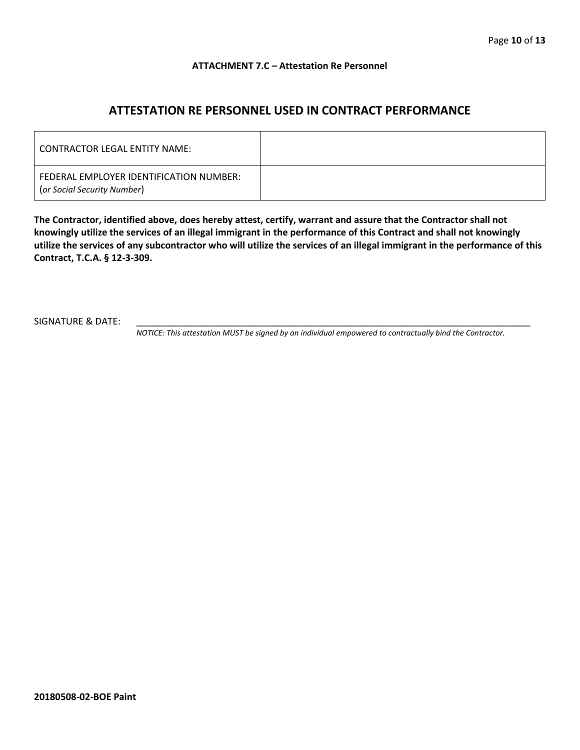#### **ATTACHMENT 7.C – Attestation Re Personnel**

# **ATTESTATION RE PERSONNEL USED IN CONTRACT PERFORMANCE**

| CONTRACTOR LEGAL ENTITY NAME:                                          |  |
|------------------------------------------------------------------------|--|
| FEDERAL EMPLOYER IDENTIFICATION NUMBER:<br>(or Social Security Number) |  |

**The Contractor, identified above, does hereby attest, certify, warrant and assure that the Contractor shall not knowingly utilize the services of an illegal immigrant in the performance of this Contract and shall not knowingly utilize the services of any subcontractor who will utilize the services of an illegal immigrant in the performance of this Contract, T.C.A. § 12-3-309.**

SIGNATURE & DATE:

*NOTICE: This attestation MUST be signed by an individual empowered to contractually bind the Contractor.*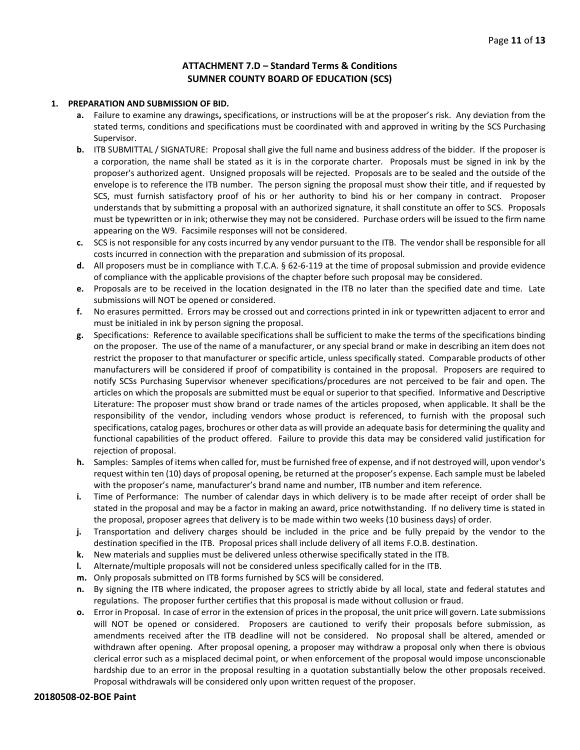#### **ATTACHMENT 7.D – Standard Terms & Conditions SUMNER COUNTY BOARD OF EDUCATION (SCS)**

#### **1. PREPARATION AND SUBMISSION OF BID.**

- **a.** Failure to examine any drawings**,** specifications, or instructions will be at the proposer's risk. Any deviation from the stated terms, conditions and specifications must be coordinated with and approved in writing by the SCS Purchasing Supervisor.
- **b.** ITB SUBMITTAL / SIGNATURE: Proposal shall give the full name and business address of the bidder. If the proposer is a corporation, the name shall be stated as it is in the corporate charter. Proposals must be signed in ink by the proposer's authorized agent. Unsigned proposals will be rejected. Proposals are to be sealed and the outside of the envelope is to reference the ITB number. The person signing the proposal must show their title, and if requested by SCS, must furnish satisfactory proof of his or her authority to bind his or her company in contract. Proposer understands that by submitting a proposal with an authorized signature, it shall constitute an offer to SCS. Proposals must be typewritten or in ink; otherwise they may not be considered. Purchase orders will be issued to the firm name appearing on the W9. Facsimile responses will not be considered.
- **c.** SCS is not responsible for any costs incurred by any vendor pursuant to the ITB. The vendor shall be responsible for all costs incurred in connection with the preparation and submission of its proposal.
- **d.** All proposers must be in compliance with T.C.A. § 62-6-119 at the time of proposal submission and provide evidence of compliance with the applicable provisions of the chapter before such proposal may be considered.
- **e.** Proposals are to be received in the location designated in the ITB no later than the specified date and time. Late submissions will NOT be opened or considered.
- **f.** No erasures permitted. Errors may be crossed out and corrections printed in ink or typewritten adjacent to error and must be initialed in ink by person signing the proposal.
- **g.** Specifications: Reference to available specifications shall be sufficient to make the terms of the specifications binding on the proposer. The use of the name of a manufacturer, or any special brand or make in describing an item does not restrict the proposer to that manufacturer or specific article, unless specifically stated. Comparable products of other manufacturers will be considered if proof of compatibility is contained in the proposal. Proposers are required to notify SCSs Purchasing Supervisor whenever specifications/procedures are not perceived to be fair and open. The articles on which the proposals are submitted must be equal or superior to that specified. Informative and Descriptive Literature: The proposer must show brand or trade names of the articles proposed, when applicable. It shall be the responsibility of the vendor, including vendors whose product is referenced, to furnish with the proposal such specifications, catalog pages, brochures or other data as will provide an adequate basis for determining the quality and functional capabilities of the product offered. Failure to provide this data may be considered valid justification for rejection of proposal.
- **h.** Samples: Samples of items when called for, must be furnished free of expense, and if not destroyed will, upon vendor's request within ten (10) days of proposal opening, be returned at the proposer's expense. Each sample must be labeled with the proposer's name, manufacturer's brand name and number, ITB number and item reference.
- **i.** Time of Performance: The number of calendar days in which delivery is to be made after receipt of order shall be stated in the proposal and may be a factor in making an award, price notwithstanding. If no delivery time is stated in the proposal, proposer agrees that delivery is to be made within two weeks (10 business days) of order.
- **j.** Transportation and delivery charges should be included in the price and be fully prepaid by the vendor to the destination specified in the ITB. Proposal prices shall include delivery of all items F.O.B. destination.
- **k.** New materials and supplies must be delivered unless otherwise specifically stated in the ITB.
- **l.** Alternate/multiple proposals will not be considered unless specifically called for in the ITB.
- **m.** Only proposals submitted on ITB forms furnished by SCS will be considered.
- **n.** By signing the ITB where indicated, the proposer agrees to strictly abide by all local, state and federal statutes and regulations. The proposer further certifies that this proposal is made without collusion or fraud.
- **o.** Error in Proposal. In case of error in the extension of prices in the proposal, the unit price will govern. Late submissions will NOT be opened or considered. Proposers are cautioned to verify their proposals before submission, as amendments received after the ITB deadline will not be considered. No proposal shall be altered, amended or withdrawn after opening. After proposal opening, a proposer may withdraw a proposal only when there is obvious clerical error such as a misplaced decimal point, or when enforcement of the proposal would impose unconscionable hardship due to an error in the proposal resulting in a quotation substantially below the other proposals received. Proposal withdrawals will be considered only upon written request of the proposer.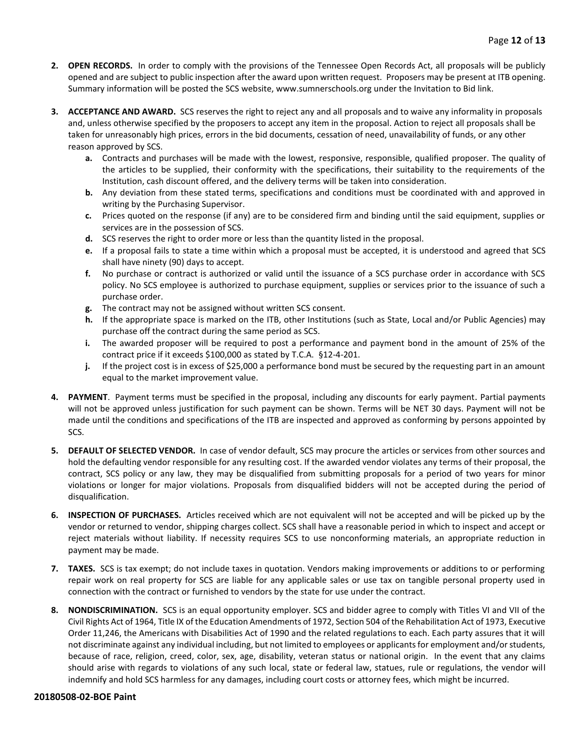- **2. OPEN RECORDS.** In order to comply with the provisions of the Tennessee Open Records Act, all proposals will be publicly opened and are subject to public inspection after the award upon written request. Proposers may be present at ITB opening. Summary information will be posted the SCS website, www.sumnerschools.org under the Invitation to Bid link.
- **3. ACCEPTANCE AND AWARD.** SCS reserves the right to reject any and all proposals and to waive any informality in proposals and, unless otherwise specified by the proposers to accept any item in the proposal. Action to reject all proposals shall be taken for unreasonably high prices, errors in the bid documents, cessation of need, unavailability of funds, or any other reason approved by SCS.
	- **a.** Contracts and purchases will be made with the lowest, responsive, responsible, qualified proposer. The quality of the articles to be supplied, their conformity with the specifications, their suitability to the requirements of the Institution, cash discount offered, and the delivery terms will be taken into consideration.
	- **b.** Any deviation from these stated terms, specifications and conditions must be coordinated with and approved in writing by the Purchasing Supervisor.
	- **c.** Prices quoted on the response (if any) are to be considered firm and binding until the said equipment, supplies or services are in the possession of SCS.
	- **d.** SCS reserves the right to order more or less than the quantity listed in the proposal.
	- **e.** If a proposal fails to state a time within which a proposal must be accepted, it is understood and agreed that SCS shall have ninety (90) days to accept.
	- **f.** No purchase or contract is authorized or valid until the issuance of a SCS purchase order in accordance with SCS policy. No SCS employee is authorized to purchase equipment, supplies or services prior to the issuance of such a purchase order.
	- **g.** The contract may not be assigned without written SCS consent.
	- **h.** If the appropriate space is marked on the ITB, other Institutions (such as State, Local and/or Public Agencies) may purchase off the contract during the same period as SCS.
	- **i.** The awarded proposer will be required to post a performance and payment bond in the amount of 25% of the contract price if it exceeds \$100,000 as stated by T.C.A. §12-4-201.
	- **j.** If the project cost is in excess of \$25,000 a performance bond must be secured by the requesting part in an amount equal to the market improvement value.
- **4. PAYMENT**. Payment terms must be specified in the proposal, including any discounts for early payment. Partial payments will not be approved unless justification for such payment can be shown. Terms will be NET 30 days. Payment will not be made until the conditions and specifications of the ITB are inspected and approved as conforming by persons appointed by SCS.
- **5. DEFAULT OF SELECTED VENDOR.** In case of vendor default, SCS may procure the articles or services from other sources and hold the defaulting vendor responsible for any resulting cost. If the awarded vendor violates any terms of their proposal, the contract, SCS policy or any law, they may be disqualified from submitting proposals for a period of two years for minor violations or longer for major violations. Proposals from disqualified bidders will not be accepted during the period of disqualification.
- **6. INSPECTION OF PURCHASES.** Articles received which are not equivalent will not be accepted and will be picked up by the vendor or returned to vendor, shipping charges collect. SCS shall have a reasonable period in which to inspect and accept or reject materials without liability. If necessity requires SCS to use nonconforming materials, an appropriate reduction in payment may be made.
- **7. TAXES.** SCS is tax exempt; do not include taxes in quotation. Vendors making improvements or additions to or performing repair work on real property for SCS are liable for any applicable sales or use tax on tangible personal property used in connection with the contract or furnished to vendors by the state for use under the contract.
- **8. NONDISCRIMINATION.** SCS is an equal opportunity employer. SCS and bidder agree to comply with Titles VI and VII of the Civil Rights Act of 1964, Title IX of the Education Amendments of 1972, Section 504 of the Rehabilitation Act of 1973, Executive Order 11,246, the Americans with Disabilities Act of 1990 and the related regulations to each. Each party assures that it will not discriminate against any individual including, but not limited to employees or applicants for employment and/or students, because of race, religion, creed, color, sex, age, disability, veteran status or national origin. In the event that any claims should arise with regards to violations of any such local, state or federal law, statues, rule or regulations, the vendor will indemnify and hold SCS harmless for any damages, including court costs or attorney fees, which might be incurred.